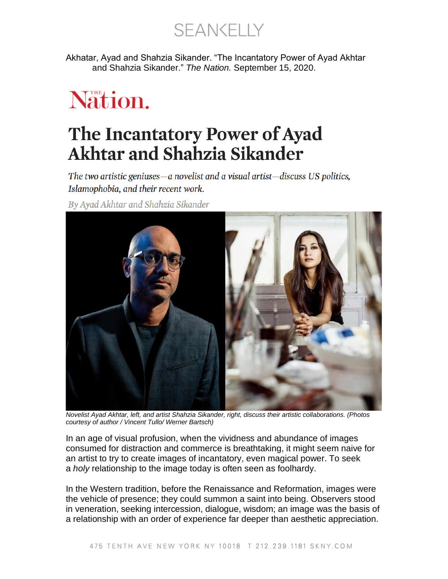**SEANKELLY** 

Akhatar, Ayad and Shahzia Sikander. "The Incantatory Power of Ayad Akhtar and Shahzia Sikander." *The Nation.* September 15, 2020.

# Nation.

## The Incantatory Power of Ayad **Akhtar and Shahzia Sikander**

The two artistic geniuses—a novelist and a visual artist—discuss US politics, Islamophobia, and their recent work.

By Ayad Akhtar and Shahzia Sikander



*Novelist Ayad Akhtar, left, and artist Shahzia Sikander, right, discuss their artistic collaborations. (Photos courtesy of author / Vincent Tullo/ Werner Bartsch)*

In an age of visual profusion, when the vividness and abundance of images consumed for distraction and commerce is breathtaking, it might seem naive for an artist to try to create images of incantatory, even magical power. To seek a *holy* relationship to the image today is often seen as foolhardy.

In the Western tradition, before the Renaissance and Reformation, images were the vehicle of presence; they could summon a saint into being. Observers stood in veneration, seeking intercession, dialogue, wisdom; an image was the basis of a relationship with an order of experience far deeper than aesthetic appreciation.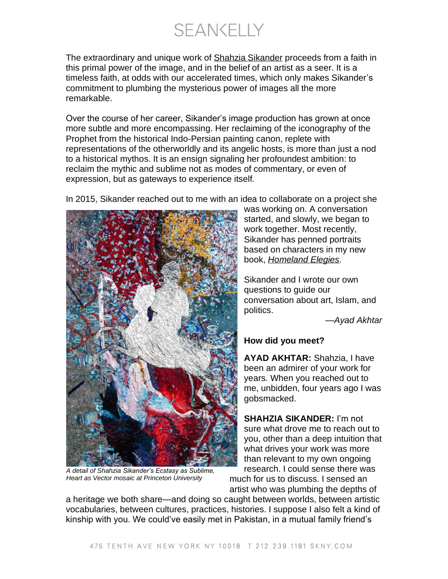**SEANKELLY** 

The extraordinary and unique work of [Shahzia Sikander](https://www.shahziasikander.com/) proceeds from a faith in this primal power of the image, and in the belief of an artist as a seer. It is a timeless faith, at odds with our accelerated times, which only makes Sikander's commitment to plumbing the mysterious power of images all the more remarkable.

Over the course of her career, Sikander's image production has grown at once more subtle and more encompassing. Her reclaiming of the iconography of the Prophet from the historical Indo-Persian painting canon, replete with representations of the otherworldly and its angelic hosts, is more than just a nod to a historical mythos. It is an ensign signaling her profoundest ambition: to reclaim the mythic and sublime not as modes of commentary, or even of expression, but as gateways to experience itself.



In 2015, Sikander reached out to me with an idea to collaborate on a project she

*A detail of Shahzia Sikander's Ecstasy as Sublime, Heart as Vector mosaic at Princeton University*

was working on. A conversation started, and slowly, we began to work together. Most recently, Sikander has penned portraits based on characters in my new book, *[Homeland Elegies](https://www.littlebrown.com/titles/ayad-akhtar/homeland-elegies/9780316496421/)*.

Sikander and I wrote our own questions to guide our conversation about art, Islam, and politics.

—*Ayad Akhtar*

#### **How did you meet?**

**AYAD AKHTAR:** Shahzia, I have been an admirer of your work for years. When you reached out to me, unbidden, four years ago I was gobsmacked.

**SHAHZIA SIKANDER:** I'm not sure what drove me to reach out to you, other than a deep intuition that what drives your work was more than relevant to my own ongoing research. I could sense there was much for us to discuss. I sensed an artist who was plumbing the depths of

a heritage we both share—and doing so caught between worlds, between artistic vocabularies, between cultures, practices, histories. I suppose I also felt a kind of kinship with you. We could've easily met in Pakistan, in a mutual family friend's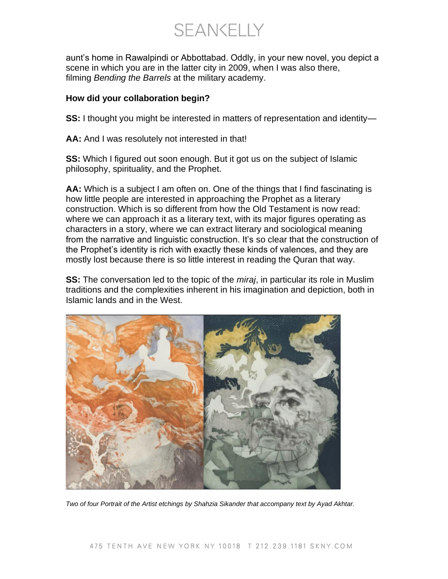**SEANKELLY** 

aunt's home in Rawalpindi or Abbottabad. Oddly, in your new novel, you depict a scene in which you are in the latter city in 2009, when I was also there, filming *Bending the Barrels* at the military academy.

#### **How did your collaboration begin?**

**SS:** I thought you might be interested in matters of representation and identity—

**AA:** And I was resolutely not interested in that!

**SS:** Which I figured out soon enough. But it got us on the subject of Islamic philosophy, spirituality, and the Prophet.

**AA:** Which is a subject I am often on. One of the things that I find fascinating is how little people are interested in approaching the Prophet as a literary construction. Which is so different from how the Old Testament is now read: where we can approach it as a literary text, with its major figures operating as characters in a story, where we can extract literary and sociological meaning from the narrative and linguistic construction. It's so clear that the construction of the Prophet's identity is rich with exactly these kinds of valences, and they are mostly lost because there is so little interest in reading the Quran that way.

**SS:** The conversation led to the topic of the *miraj*, in particular its role in Muslim traditions and the complexities inherent in his imagination and depiction, both in Islamic lands and in the West.



*Two of four Portrait of the Artist etchings by Shahzia Sikander that accompany text by Ayad Akhtar.*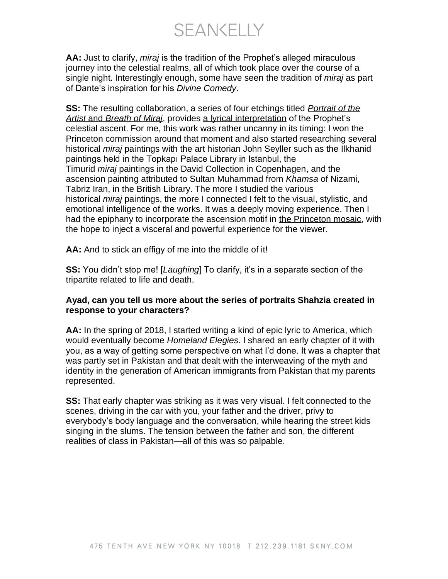SEANKELLY

**AA:** Just to clarify, *miraj* is the tradition of the Prophet's alleged miraculous journey into the celestial realms, all of which took place over the course of a single night. Interestingly enough, some have seen the tradition of *miraj* as part of Dante's inspiration for his *Divine Comedy*.

**SS:** The resulting collaboration, a series of four etchings titled *[Portrait of the](https://www.shahziasikander.com/artworks/shahzia-sikander-portrait-of-the-artist-2016-one-in-a-suite-of-four-etchings-with-accompanying-collaborative-text-breath-of-miraj-by-ayad-akhtar-published-by-pace-editions-inc)  Artist* and *[Breath of Miraj](https://www.shahziasikander.com/artworks/shahzia-sikander-portrait-of-the-artist-2016-one-in-a-suite-of-four-etchings-with-accompanying-collaborative-text-breath-of-miraj-by-ayad-akhtar-published-by-pace-editions-inc)*, provides [a lyrical interpretation](https://www.shahziasikander.com/attachment/en/5a6f811a6aa72c6c268b4568/TextTwoColumnsWithFile/5f4961af3ac1386639f864b8) of the Prophet's celestial ascent. For me, this work was rather uncanny in its timing: I won the Princeton commission around that moment and also started researching several historical *miraj* paintings with the art historian John Seyller such as the Ilkhanid paintings held in the Topkapı Palace Library in Istanbul, the Timurid *miraj* [paintings in the David Collection in Copenhagen,](https://www.davidmus.dk/en/collections/islamic/dynasties/timurids-and-turkmen/art/13-2012) and the ascension painting attributed to Sultan Muhammad from *Khamsa* of Nizami, Tabriz Iran, in the British Library. The more I studied the various historical *miraj* paintings, the more I connected I felt to the visual, stylistic, and emotional intelligence of the works. It was a deeply moving experience. Then I had the epiphany to incorporate the ascension motif in [the Princeton mosaic,](https://quod.lib.umich.edu/a/ars/13441566.0049.008?view=text;rgn=main) with the hope to inject a visceral and powerful experience for the viewer.

**AA:** And to stick an effigy of me into the middle of it!

**SS:** You didn't stop me! [*Laughing*] To clarify, it's in a separate section of the tripartite related to life and death.

#### **Ayad, can you tell us more about the series of portraits Shahzia created in response to your characters?**

**AA:** In the spring of 2018, I started writing a kind of epic lyric to America, which would eventually become *Homeland Elegies*. I shared an early chapter of it with you, as a way of getting some perspective on what I'd done. It was a chapter that was partly set in Pakistan and that dealt with the interweaving of the myth and identity in the generation of American immigrants from Pakistan that my parents represented.

**SS:** That early chapter was striking as it was very visual. I felt connected to the scenes, driving in the car with you, your father and the driver, privy to everybody's body language and the conversation, while hearing the street kids singing in the slums. The tension between the father and son, the different realities of class in Pakistan—all of this was so palpable.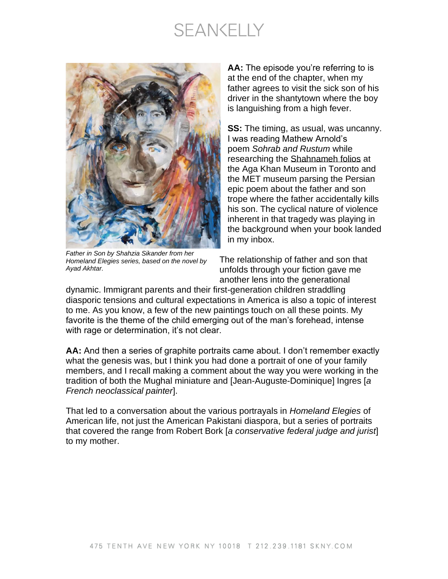### **SEANKELLY**



*Father in Son by Shahzia Sikander from her Homeland Elegies series, based on the novel by Ayad Akhtar.*

**AA:** The episode you're referring to is at the end of the chapter, when my father agrees to visit the sick son of his driver in the shantytown where the boy is languishing from a high fever.

**SS:** The timing, as usual, was uncanny. I was reading Mathew Arnold's poem *Sohrab and Rustum* while researching the [Shahnameh folios](https://www.metmuseum.org/art/collection/search/453265)) at the Aga Khan Museum in Toronto and the MET museum parsing the Persian epic poem about the father and son trope where the father accidentally kills his son. The cyclical nature of violence inherent in that tragedy was playing in the background when your book landed in my inbox.

The relationship of father and son that unfolds through your fiction gave me another lens into the generational

dynamic. Immigrant parents and their first-generation children straddling diasporic tensions and cultural expectations in America is also a topic of interest to me. As you know, a few of the new paintings touch on all these points. My favorite is the theme of the child emerging out of the man's forehead, intense with rage or determination, it's not clear.

**AA:** And then a series of graphite portraits came about. I don't remember exactly what the genesis was, but I think you had done a portrait of one of your family members, and I recall making a comment about the way you were working in the tradition of both the Mughal miniature and [Jean-Auguste-Dominique] Ingres [*a French neoclassical painter*].

That led to a conversation about the various portrayals in *Homeland Elegies* of American life, not just the American Pakistani diaspora, but a series of portraits that covered the range from Robert Bork [*a conservative federal judge and jurist*] to my mother.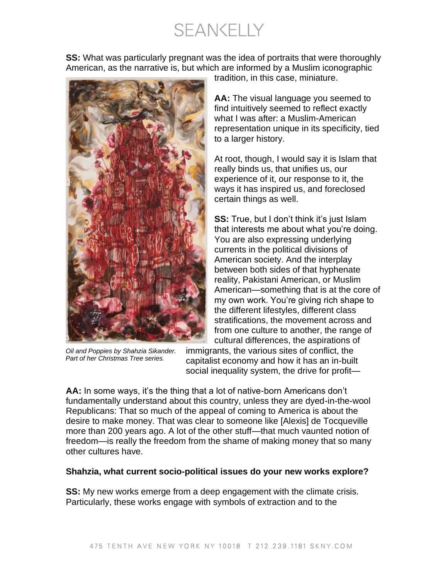**SEANKELLY** 

**SS:** What was particularly pregnant was the idea of portraits that were thoroughly American, as the narrative is, but which are informed by a Muslim iconographic



*Oil and Poppies by Shahzia Sikander. Part of her Christmas Tree series.*

tradition, in this case, miniature.

**AA:** The visual language you seemed to find intuitively seemed to reflect exactly what I was after: a Muslim-American representation unique in its specificity, tied to a larger history.

At root, though, I would say it is Islam that really binds us, that unifies us, our experience of it, our response to it, the ways it has inspired us, and foreclosed certain things as well.

**SS:** True, but I don't think it's just Islam that interests me about what you're doing. You are also expressing underlying currents in the political divisions of American society. And the interplay between both sides of that hyphenate reality, Pakistani American, or Muslim American—something that is at the core of my own work. You're giving rich shape to the different lifestyles, different class stratifications, the movement across and from one culture to another, the range of cultural differences, the aspirations of

immigrants, the various sites of conflict, the capitalist economy and how it has an in-built social inequality system, the drive for profit—

**AA:** In some ways, it's the thing that a lot of native-born Americans don't fundamentally understand about this country, unless they are dyed-in-the-wool Republicans: That so much of the appeal of coming to America is about the desire to make money. That was clear to someone like [Alexis] de Tocqueville more than 200 years ago. A lot of the other stuff—that much vaunted notion of freedom—is really the freedom from the shame of making money that so many other cultures have.

#### **Shahzia, what current socio-political issues do your new works explore?**

**SS:** My new works emerge from a deep engagement with the climate crisis. Particularly, these works engage with symbols of extraction and to the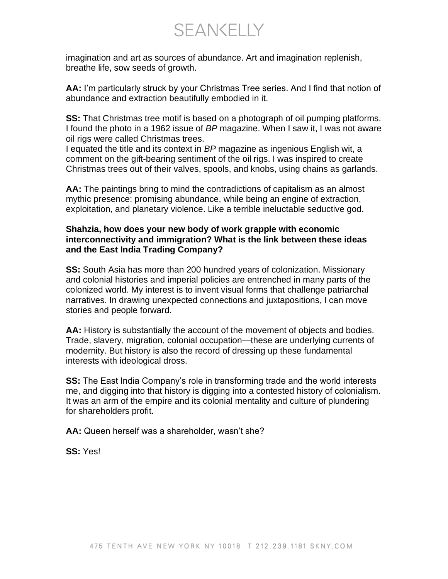SEANKELLY

imagination and art as sources of abundance. Art and imagination replenish, breathe life, sow seeds of growth.

**AA:** I'm particularly struck by your Christmas Tree series. And I find that notion of abundance and extraction beautifully embodied in it.

**SS:** That Christmas tree motif is based on a photograph of oil pumping platforms. I found the photo in a 1962 issue of *BP* magazine. When I saw it, I was not aware oil rigs were called Christmas trees.

I equated the title and its context in *BP* magazine as ingenious English wit, a comment on the gift-bearing sentiment of the oil rigs. I was inspired to create Christmas trees out of their valves, spools, and knobs, using chains as garlands.

**AA:** The paintings bring to mind the contradictions of capitalism as an almost mythic presence: promising abundance, while being an engine of extraction, exploitation, and planetary violence. Like a terrible ineluctable seductive god.

#### **Shahzia, how does your new body of work grapple with economic interconnectivity and immigration? What is the link between these ideas and the East India Trading Company?**

**SS:** South Asia has more than 200 hundred years of colonization. Missionary and colonial histories and imperial policies are entrenched in many parts of the colonized world. My interest is to invent visual forms that challenge patriarchal narratives. In drawing unexpected connections and juxtapositions, I can move stories and people forward.

**AA:** History is substantially the account of the movement of objects and bodies. Trade, slavery, migration, colonial occupation—these are underlying currents of modernity. But history is also the record of dressing up these fundamental interests with ideological dross.

**SS:** The East India Company's role in transforming trade and the world interests me, and digging into that history is digging into a contested history of colonialism. It was an arm of the empire and its colonial mentality and culture of plundering for shareholders profit.

**AA:** Queen herself was a shareholder, wasn't she?

**SS:** Yes!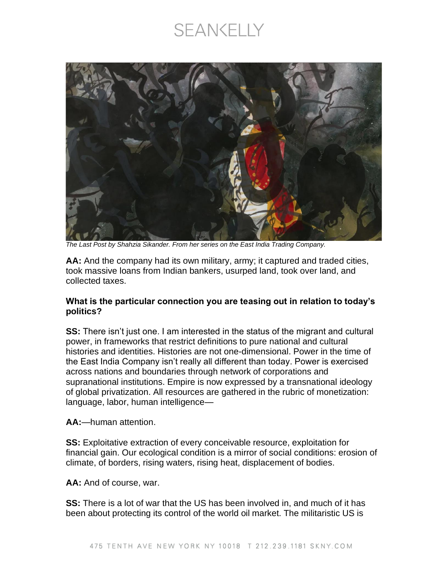### **SEANKELLY**



*The Last Post by Shahzia Sikander. From her series on the East India Trading Company.*

**AA:** And the company had its own military, army; it captured and traded cities, took massive loans from Indian bankers, usurped land, took over land, and collected taxes.

#### **What is the particular connection you are teasing out in relation to today's politics?**

**SS:** There isn't just one. I am interested in the status of the migrant and cultural power, in frameworks that restrict definitions to pure national and cultural histories and identities. Histories are not one-dimensional. Power in the time of the East India Company isn't really all different than today. Power is exercised across nations and boundaries through network of corporations and supranational institutions. Empire is now expressed by a transnational ideology of global privatization. All resources are gathered in the rubric of monetization: language, labor, human intelligence—

**AA:**—human attention.

**SS:** Exploitative extraction of every conceivable resource, exploitation for financial gain. Our ecological condition is a mirror of social conditions: erosion of climate, of borders, rising waters, rising heat, displacement of bodies.

**AA:** And of course, war.

**SS:** There is a lot of war that the US has been involved in, and much of it has been about protecting its control of the world oil market. The militaristic US is